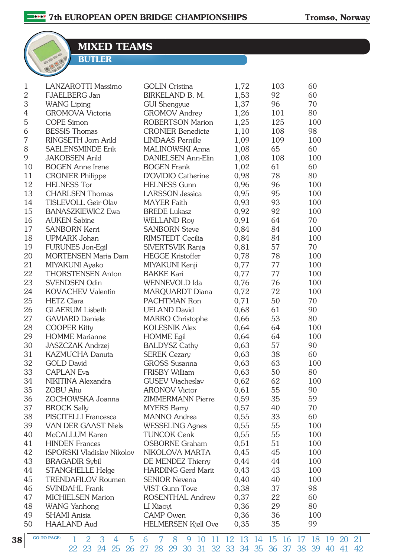MIXED TEAMS

BUTLER

| $\mathbf{1}$<br>$\overline{2}$ | <b>LANZAROTTI Massimo</b><br>FJAELBERG Jan | <b>GOLIN</b> Cristina<br><b>BIRKELAND B. M.</b> | 1,72<br>1,53 | 103<br>92 | 60<br>60  |
|--------------------------------|--------------------------------------------|-------------------------------------------------|--------------|-----------|-----------|
| 3                              | <b>WANG Liping</b>                         | <b>GUI Shengyue</b>                             | 1,37         | 96        | 70        |
| $\overline{4}$                 | <b>GROMOVA Victoria</b>                    | <b>GROMOV</b> Andrey                            | 1,26         | 101       | 80        |
| 5                              | <b>COPE</b> Simon                          | <b>ROBERTSON Marion</b>                         | 1,25         | 125       | 100       |
| 6                              | <b>BESSIS Thomas</b>                       | <b>CRONIER Benedicte</b>                        | 1,10         | 108       | 98        |
| 7                              | RINGSETH Jorn Arild                        | <b>LINDAAS</b> Pernille                         | 1,09         | 109       | 100       |
| 8                              | <b>SAELENSMINDE Erik</b>                   | <b>MALINOWSKI Anna</b>                          | 1,08         | 65        | 60        |
| 9                              | <b>JAKOBSEN Arild</b>                      | <b>DANIELSEN Ann-Elin</b>                       | 1,08         | 108       | 100       |
| 10                             | <b>BOGEN</b> Anne Irene                    | <b>BOGEN</b> Frank                              | 1,02         | 61        | 60        |
| 11                             | <b>CRONIER Philippe</b>                    | D'OVIDIO Catherine                              | 0,98         | 78        | 80        |
| 12                             | <b>HELNESS Tor</b>                         | <b>HELNESS Gunn</b>                             | 0,96         | 96        | 100       |
| 13                             | <b>CHARLSEN</b> Thomas                     | <b>LARSSON</b> Jessica                          | 0,95         | 95        | 100       |
| 14                             | <b>TISLEVOLL Geir-Olav</b>                 | <b>MAYER Faith</b>                              | 0,93         | 93        | 100       |
| 15                             | <b>BANASZKIEWICZ Ewa</b>                   | <b>BREDE Lukasz</b>                             | 0,92         | 92        | 100       |
| 16                             | <b>AUKEN Sabine</b>                        | <b>WELLAND Roy</b>                              | 0,91         | 64        | 70        |
| 17                             | <b>SANBORN Kerri</b>                       | <b>SANBORN Steve</b>                            | 0,84         | 84        | 100       |
| 18                             | <b>UPMARK Johan</b>                        | <b>RIMSTEDT Cecilia</b>                         | 0,84         | 84        | 100       |
| 19                             | <b>FURUNES Jon-Egil</b>                    | SIVERTSVIK Ranja                                | 0,81         | 57        | 70        |
| 20                             | <b>MORTENSEN Maria Dam</b>                 | <b>HEGGE Kristoffer</b>                         | 0,78         | 78        | 100       |
| 21                             | MIYAKUNI Ayako                             | MIYAKUNI Kenji                                  | 0,77         | 77        | 100       |
| 22                             | <b>THORSTENSEN Anton</b>                   | <b>BAKKE Kari</b>                               | 0,77         | 77        | 100       |
| 23                             | <b>SVENDSEN Odin</b>                       | WENNEVOLD Ida                                   | 0,76         | 76        | 100       |
| 24                             | <b>KOVACHEV Valentin</b>                   | MARQUARDT Diana                                 | 0,72         | 72        | 100       |
| 25                             | <b>HETZ</b> Clara                          | PACHTMAN Ron                                    | 0,71         | 50        | 70        |
| 26                             | <b>GLAERUM</b> Lisbeth                     | <b>UELAND David</b>                             | 0,68         | 61        | 90        |
| 27                             | <b>GAVIARD</b> Daniele                     | MARRO Christophe                                | 0,66         | 53        | 80        |
| 28                             | <b>COOPER Kitty</b>                        | <b>KOLESNIK Alex</b>                            | 0,64         | 64        | 100       |
| 29                             | <b>HOMME</b> Marianne                      | <b>HOMME</b> Egil                               | 0,64         | 64        | 100       |
| 30                             | JASZCZAK Andrzej                           | <b>BALDYSZ Cathy</b>                            | 0,63         | 57        | 90        |
| 31                             | <b>KAZMUCHA Danuta</b>                     | <b>SEREK Cezary</b>                             | 0,63         | 38        | 60        |
| 32                             | <b>GOLD David</b>                          | <b>GROSS</b> Susanna                            | 0,63         | 63        | 100       |
| 33                             | <b>CAPLAN</b> Eva                          | <b>FRISBY William</b>                           | 0,63         | 50        | 80        |
| 34                             | NIKITINA Alexandra                         | <b>GUSEV Viacheslav</b>                         | 0,62         | 62        | 100       |
| 35                             | <b>ZOBU Ahu</b>                            | <b>ARONOV Victor</b>                            | 0,61         | 55        | 90        |
| 36                             | ZOCHOWSKA Joanna                           | <b>ZIMMERMANN Pierre</b>                        | 0,59         | 35        | 59        |
| 37                             | <b>BROCK Sally</b>                         | <b>MYERS Barry</b>                              | 0,57         | 40        | 70        |
| 38                             | PISCITELLI Francesca                       | MANNO Andrea                                    | 0,55         | 33        | 60        |
| 39                             | <b>VAN DER GAAST Niels</b>                 | <b>WESSELING Agnes</b>                          | 0,55         | 55        | 100       |
| 40                             | McCALLUM Karen                             | <b>TUNCOK Cenk</b>                              | 0,55         | 55        | 100       |
| 41                             | <b>HINDEN</b> Frances                      | <b>OSBORNE Graham</b>                           | 0,51         | 51        | 100       |
| 42                             | <b>ISPORSKI Vladislav Nikolov</b>          | NIKOLOVA MARTA                                  | 0,45         | 45        | 100       |
| 43                             | <b>BRAGADIR Sybil</b>                      | DE MENDEZ Thierry                               | 0,44         | 44        | 100       |
| 44                             | STANGHELLE Helge                           | <b>HARDING Gerd Marit</b>                       | 0,43         | 43        | 100       |
| 45                             | <b>TRENDAFILOV Roumen</b>                  | <b>SENIOR Nevena</b>                            | 0,40         | 40        | 100       |
| 46                             | <b>SVINDAHL Frank</b>                      | <b>VIST Gunn Tove</b>                           | 0,38         | 37        | 98        |
| 47                             | <b>MICHIELSEN Marion</b>                   | ROSENTHAL Andrew                                | 0,37         | 22        | 60        |
| 48                             | <b>WANG Yanhong</b>                        | LI Xiaoyi                                       | 0,36         | 29        | 80        |
| 49<br>50                       | <b>SHAMI</b> Anisia<br><b>HAALAND Aud</b>  | <b>CAMP</b> Owen                                | 0,36<br>0,35 | 36<br>35  | 100<br>99 |
|                                |                                            | <b>HELMERSEN Kjell Ove</b>                      |              |           |           |

38 <sup>60 TO PAGE:</sup> 1 2 3 4 5 6 7 8 9 10 11 12 13 14 15 16 17 18 19 20 21 22 23 24 25 26 27 28 29 30 31 32 33 34 35 36 37 38 39 40 41 42 GO TO PAGE: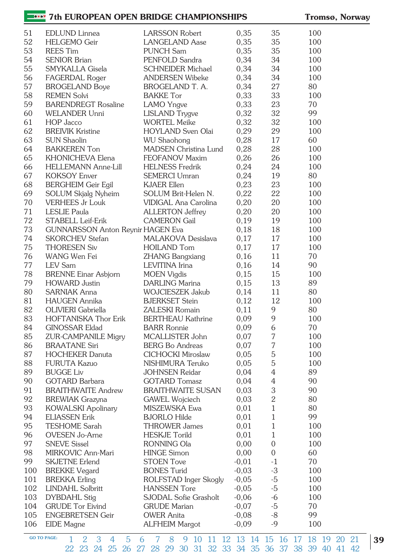## **10027** 7th EUROPEAN OPEN BRIDGE CHAMPIONSHIPS Tromsø, Norway

| 51  | <b>EDLUND</b> Linnea                     | <b>LARSSON Robert</b>        | 0,35    | 35               | 100 |
|-----|------------------------------------------|------------------------------|---------|------------------|-----|
| 52  | <b>HELGEMO</b> Geir                      | <b>LANGELAND</b> Aase        | 0,35    | 35               | 100 |
| 53  | <b>REES</b> Tim                          | <b>PUNCH Sam</b>             | 0,35    | 35               | 100 |
| 54  | <b>SENIOR Brian</b>                      | PENFOLD Sandra               | 0,34    | 34               | 100 |
| 55  | SMYKALLA Gisela                          | <b>SCHNEIDER Michael</b>     | 0,34    | 34               | 100 |
| 56  | FAGERDAL Roger                           | <b>ANDERSEN Wibeke</b>       | 0,34    | 34               | 100 |
| 57  | <b>BROGELAND Boye</b>                    | BROGELAND T. A.              | 0,34    | 27               | 80  |
| 58  | <b>REMEN Solvi</b>                       | <b>BAKKE</b> Tor             | 0,33    | 33               | 100 |
| 59  | <b>BARENDREGT Rosaline</b>               | <b>LAMO</b> Yngve            | 0,33    | 23               | 70  |
| 60  | <b>WELANDER Unni</b>                     | <b>LISLAND</b> Trygve        | 0,32    | 32               | 99  |
| 61  | HOP Jacco                                | <b>WORTEL Meike</b>          | 0,32    | 32               | 100 |
| 62  | <b>BREIVIK Kristine</b>                  | HOYLAND Sven Olai            | 0,29    | 29               | 100 |
| 63  | <b>SUN Shaolin</b>                       | <b>WU Shaohong</b>           | 0,28    | 17               | 60  |
| 64  | <b>BAKKEREN</b> Ton                      | <b>MADSEN Christina Lund</b> | 0,28    | 28               | 100 |
| 65  | KHONICHEVA Elena                         | FEOFANOV Maxim               | 0,26    | 26               | 100 |
| 66  | <b>HELLEMANN Anne-Lill</b>               | <b>HELNESS Fredrik</b>       | 0,24    | 24               | 100 |
| 67  | <b>KOKSOY Enver</b>                      | <b>SEMERCI Umran</b>         | 0,24    | 19               | 80  |
| 68  | <b>BERGHEIM Geir Egil</b>                | <b>KJAER Ellen</b>           | 0,23    | 23               | 100 |
|     |                                          | SOLUM Brit-Helen N.          |         | 22               |     |
| 69  | SOLUM Skjalg Nyheim                      |                              | 0,22    |                  | 100 |
| 70  | <b>VERHEES Jr Louk</b>                   | VIDIGAL Ana Carolina         | 0,20    | 20               | 100 |
| 71  | <b>LESLIE Paula</b>                      | <b>ALLERTON</b> Jeffrey      | 0,20    | 20               | 100 |
| 72  | STABELL Leif-Erik                        | <b>CAMERON Gail</b>          | 0,19    | 19               | 100 |
| 73  | <b>GUNNARSSON Anton Reynir HAGEN Eva</b> |                              | 0,18    | 18               | 100 |
| 74  | <b>SKORCHEV Stefan</b>                   | <b>MALAKOVA Desislava</b>    | 0,17    | 17               | 100 |
| 75  | <b>THORESEN Siv</b>                      | <b>HOILAND Tom</b>           | 0,17    | 17               | 100 |
| 76  | WANG Wen Fei                             | <b>ZHANG Bangxiang</b>       | 0,16    | 11               | 70  |
| 77  | <b>LEV</b> Sam                           | LEVITINA Irina               | 0,16    | 14               | 90  |
| 78  | <b>BRENNE Einar Asbjorn</b>              | <b>MOEN Vigdis</b>           | 0,15    | 15               | 100 |
| 79  | <b>HOWARD</b> Justin                     | <b>DARLING Marina</b>        | 0,15    | 13               | 89  |
| 80  | <b>SARNIAK Anna</b>                      | <b>WOJCIESZEK Jakub</b>      | 0,14    | 11               | 80  |
| 81  | <b>HAUGEN</b> Annika                     | <b>BJERKSET Stein</b>        | 0,12    | 12               | 100 |
| 82  | OLIVIERI Gabriella                       | <b>ZALESKI Romain</b>        | 0,11    | 9                | 80  |
| 83  | <b>HOFTANISKA Thor Erik</b>              | <b>BERTHEAU Kathrine</b>     | 0,09    | 9                | 100 |
| 84  | <b>GINOSSAR Eldad</b>                    | <b>BARR Ronnie</b>           | 0,09    | 6                | 70  |
| 85  | <b>ZUR-CAMPANILE Migry</b>               | MCALLISTER John              | 0,07    | 7                | 100 |
| 86  | <b>BRAATANE Siri</b>                     | <b>BERG Bo Andreas</b>       | 0,07    | 7                | 100 |
| 87  | <b>HOCHEKER Danuta</b>                   | <b>CICHOCKI Miroslaw</b>     | 0,05    | 5                | 100 |
| 88  | <b>FURUTA Kazuo</b>                      | NISHIMURA Teruko             | 0,05    | 5                | 100 |
| 89  | <b>BUGGE Liv</b>                         | <b>JOHNSEN Reidar</b>        | 0,04    | $\overline{4}$   | 89  |
| 90  | <b>GOTARD Barbara</b>                    | <b>GOTARD Tomasz</b>         | 0,04    | 4                | 90  |
| 91  | <b>BRAITHWAITE Andrew</b>                | <b>BRAITHWAITE SUSAN</b>     | 0,03    | 3                | 90  |
| 92  | <b>BREWIAK Grazyna</b>                   | <b>GAWEL Wojciech</b>        | 0,03    | $\mathbf{2}$     | 80  |
| 93  | <b>KOWALSKI Apolinary</b>                | MISZEWSKA Ewa                | 0,01    | $\mathbf{1}$     | 80  |
| 94  | <b>ELIASSEN Erik</b>                     | <b>BJORLO Hilde</b>          | 0,01    | $\mathbf{1}$     | 99  |
| 95  | <b>TESHOME Sarah</b>                     | <b>THROWER James</b>         | 0,01    | $\mathbf{1}$     | 100 |
| 96  | <b>OVESEN</b> Jo-Arne                    | <b>HESKJE Torild</b>         | 0,01    | $\mathbf{1}$     | 100 |
| 97  | <b>SNEVE Sissel</b>                      | RONNING Ola                  | 0,00    | $\mathbf 0$      | 100 |
|     |                                          |                              |         |                  | 60  |
| 98  | MIRKOVIC Ann-Mari                        | <b>HINGE Simon</b>           | 0,00    | $\boldsymbol{0}$ |     |
| 99  | <b>SKJETNE Erlend</b>                    | <b>STOEN Tove</b>            | $-0,01$ | $-1$             | 70  |
| 100 | <b>BREKKE Vegard</b>                     | <b>BONES Turid</b>           | $-0,03$ | $-3$             | 100 |
| 101 | <b>BREKKA Erling</b>                     | ROLFSTAD Inger Skogly        | $-0,05$ | $-5$             | 100 |
| 102 | <b>LINDAHL Solbritt</b>                  | <b>HANSSEN</b> Tore          | $-0,05$ | $-5$             | 100 |
| 103 | DYBDAHL Stig                             | SJODAL Sofie Grasholt        | $-0,06$ | $-6$             | 100 |
| 104 | <b>GRUDE</b> Tor Eivind                  | <b>GRUDE Marian</b>          | $-0,07$ | $-5$             | 70  |
| 105 | <b>ENGEBRETSEN Geir</b>                  | <b>OWER Anita</b>            | $-0,08$ | $-8$             | 99  |
| 106 | EIDE Magne                               | <b>ALFHEIM Margot</b>        | $-0,09$ | $-9$             | 100 |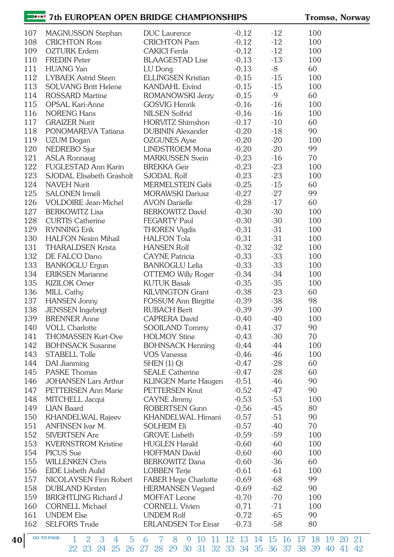### **THE TREAD TREAD TREAD FOR A STATE OF EXAMPLE STATES** Tromsø, Norway

| 107 | MAGNUSSON Stephan                    | <b>DUC</b> Laurence         | $-0,12$ | $-12$ | 100 |
|-----|--------------------------------------|-----------------------------|---------|-------|-----|
| 108 | <b>CRICHTON Ross</b>                 | <b>CRICHTON Pam</b>         | $-0,12$ | $-12$ | 100 |
| 109 | <b>OZTURK</b> Erdem                  | <b>CAKICI</b> Ferda         | $-0,12$ | $-12$ | 100 |
| 110 | <b>FREDIN Peter</b>                  | <b>BLAAGESTAD Lise</b>      | $-0,13$ | $-13$ | 100 |
| 111 | <b>HUANG</b> Yan                     | LU Dong                     | $-0,13$ | -8    | 60  |
| 112 | <b>LYBAEK Astrid Steen</b>           | <b>ELLINGSEN Kristian</b>   | $-0,15$ | $-15$ | 100 |
| 113 | <b>SOLVANG Britt Helene</b>          | <b>KANDAHL Eivind</b>       | $-0,15$ | $-15$ | 100 |
| 114 | <b>ROSSARD Martine</b>               | ROMANOWSKI Jerzy            | $-0,15$ | $-9$  | 60  |
| 115 | OPSAL Kari-Anne                      | <b>GOSVIG Henrik</b>        | $-0,16$ | $-16$ | 100 |
| 116 | <b>NORENG Hans</b>                   | <b>NILSEN Solfrid</b>       | $-0,16$ | $-16$ | 100 |
| 117 | <b>GRAIZER Nurit</b>                 | HORVITZ Shimshon            | $-0,17$ | $-10$ | 60  |
| 118 | PONOMAREVA Tatiana                   | <b>DUBININ Alexander</b>    | $-0,20$ | $-18$ | 90  |
| 119 | <b>UZUM</b> Dogan                    | <b>OZGUNES Ayse</b>         | $-0,20$ | $-20$ | 100 |
| 120 | NEDREBO Sjur                         | LINDSTROEM Mona             | $-0,20$ | $-20$ | 99  |
| 121 | <b>ASLA Ronnaug</b>                  | <b>MARKUSSEN Svein</b>      | $-0,23$ | $-16$ | 70  |
| 122 | <b>FUGLESTAD Ann Karin</b>           | <b>BREKKA</b> Geir          | $-0,23$ | $-23$ | 100 |
| 123 | SJODAL Elisabeth Grasholt            | SJODAL Rolf                 | $-0,23$ | $-23$ | 100 |
| 124 | <b>NAVEH Nurit</b>                   | MERMELSTEIN Gabi            | $-0,25$ | $-15$ | 60  |
| 125 | SALONEN Irmeli                       | <b>MORAWSKI Dariusz</b>     | $-0,27$ | $-27$ | 99  |
| 126 | <b>VOLDOIRE</b> Jean-Michel          | <b>AVON Danielle</b>        | $-0,28$ | $-17$ | 60  |
| 127 | <b>BERKOWITZ Lisa</b>                | <b>BERKOWITZ David</b>      | $-0,30$ | $-30$ | 100 |
| 128 | <b>CURTIS Catherine</b>              | <b>FEGARTY Paul</b>         | $-0,30$ | $-30$ | 100 |
| 129 | <b>RYNNING Erik</b>                  | <b>THOREN Vigdis</b>        | $-0,31$ | $-31$ | 100 |
| 130 | <b>HALFON Nesim Mihail</b>           | <b>HALFON Tola</b>          | $-0,31$ | $-31$ | 100 |
| 131 | <b>THARALDSEN Krista</b>             | <b>HANSEN Rolf</b>          | $-0,32$ | $-32$ | 100 |
| 132 | DE FALCO Dano                        | <b>CAYNE</b> Patricia       | $-0,33$ | $-33$ | 100 |
| 133 | <b>BANKOGLU Ergun</b>                | <b>BANKOGLU Lelia</b>       | $-0,33$ | $-33$ | 100 |
| 134 | <b>ERIKSEN Marianne</b>              | OTTEMO Willy Roger          | $-0,34$ | $-34$ | 100 |
| 135 | <b>KIZILOK</b> Omer                  | <b>KUTUK Basak</b>          | $-0,35$ | $-35$ | 100 |
| 136 | <b>MILL Cathy</b>                    | <b>KILVINGTON Grant</b>     | $-0,38$ | $-23$ | 60  |
| 137 | <b>HANSEN</b> Jonny                  | FOSSUM Ann Birgitte         | $-0,39$ | $-38$ | 98  |
| 138 | <b>JENSSEN</b> Ingebrigt             | <b>RUBACH Berit</b>         | $-0,39$ | $-39$ | 100 |
| 139 | <b>BRENNER</b> Anne                  | <b>CAPRERA David</b>        | $-0,40$ | $-40$ | 100 |
| 140 | <b>VOLL Charlotte</b>                | <b>SOOILAND Tommy</b>       | $-0,41$ | $-37$ | 90  |
| 141 | <b>THOMASSEN Kurt-Ove</b>            | <b>HOLMOY Stine</b>         | $-0,43$ | $-30$ | 70  |
| 142 | <b>BOHNSACK Susanne</b>              | <b>BOHNSACK Henning</b>     | $-0,44$ | $-44$ | 100 |
| 143 | STABELL Tolle                        | <b>VOS Vanessa</b>          | $-0,46$ | $-46$ | 100 |
| 144 | DAI Jianming                         | SHEN (1) Qi                 | $-0,47$ | $-28$ | 60  |
| 145 | <b>PASKE Thomas</b>                  | <b>SEALE Catherine</b>      | $-0,47$ | $-28$ | 60  |
| 146 | <b>JOHANSEN Lars Arthur</b>          | <b>KLINGEN Marte Haugen</b> | $-0,51$ | $-46$ | 90  |
| 147 | PETTERSEN Ann Marie                  | PETTERSEN Knut              | $-0,52$ | $-47$ | 90  |
| 148 |                                      | <b>CAYNE Jimmy</b>          | $-0,53$ | $-53$ | 100 |
| 149 | MITCHELL Jacqui<br><b>LIAN Baard</b> | <b>ROBERTSEN Gunn</b>       | $-0,56$ | $-45$ | 80  |
| 150 |                                      | <b>KHANDELWAL Himani</b>    |         | $-51$ | 90  |
| 151 | <b>KHANDELWAL Rajeev</b>             |                             | $-0,57$ | $-40$ | 70  |
|     | ANFINSEN Ivar M.                     | <b>SOLHEIM Eli</b>          | $-0,57$ |       |     |
| 152 | <b>SIVERTSEN</b> Are                 | <b>GROVE</b> Lisbeth        | $-0,59$ | $-59$ | 100 |
| 153 | <b>KVERNSTROM Kristine</b>           | <b>HUGLEN Harald</b>        | $-0,60$ | $-60$ | 100 |
| 154 | PICUS Sue                            | <b>HOFFMAN David</b>        | $-0,60$ | $-60$ | 100 |
| 155 | <b>WILLENKEN Chris</b>               | <b>BERKOWITZ Dana</b>       | $-0,60$ | $-36$ | 60  |
| 156 | <b>EIDE</b> Lisbeth Aulid            | <b>LOBBEN</b> Terje         | $-0,61$ | $-61$ | 100 |
| 157 | NICOLAYSEN Finn Robert               | FABER Hege Charlotte        | $-0,69$ | $-68$ | 99  |
| 158 | <b>DUBLAND Kirsten</b>               | <b>HERMANSEN Vegard</b>     | $-0,69$ | $-62$ | 90  |
| 159 | <b>BRIGHTLING Richard J</b>          | MOFFAT Leone                | $-0,70$ | $-70$ | 100 |
| 160 | <b>CORNELL Michael</b>               | <b>CORNELL Vivien</b>       | $-0,71$ | $-71$ | 100 |
| 161 | <b>UNDEM Else</b>                    | <b>UNDEM Rolf</b>           | $-0,72$ | $-65$ | 90  |
| 162 | <b>SELFORS Trude</b>                 | <b>ERLANDSEN Tor Einar</b>  | $-0,73$ | $-58$ | 80  |

40 <sup>GO TO PAGE:</sup> 1 2 3 4 5 6 7 8 9 10 11 12 13 14 15 16 17 18 19 20 21 22 23 24 25 26 27 28 29 30 31 32 33 34 35 36 37 38 39 40 41 42 GO TO PAGE: